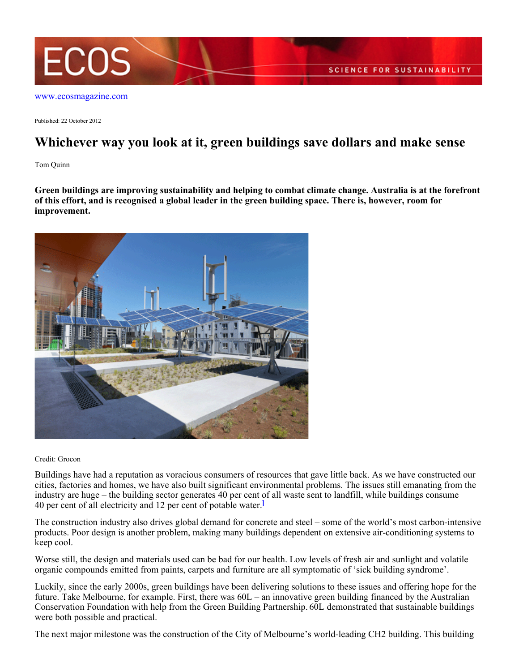

[www.ecosmagazine.com](http://www.ecosmagazine.com)

Published: 22 October 2012

## **Whichever way you look at it, green buildings save dollars and make sense**

Tom Quinn

**Green buildings are improving sustainability and helping to combat climate change. Australia is at the forefront of this effort, and is recognised a global leader in the green building space. There is, however, room for improvement.**



Credit: Grocon

Buildings have had a reputation as voracious consumers of resources that gave little back. As we have constructed our cities, factories and homes, we have also built significant environmental problems. The issues still emanating from the industry are huge – the building sector generates 40 per cent of all waste sent to landfill, while buildings consume 40 per cent of all electricity and 12 per cent of potable water.

The construction industry also drives global demand for concrete and steel – some of the world's most carbon-intensive products. Poor design is another problem, making many buildings dependent on extensive air-conditioning systems to keep cool.

Worse still, the design and materials used can be bad for our health. Low levels of fresh air and sunlight and volatile organic compounds emitted from paints, carpets and furniture are all symptomatic of 'sick building syndrome'.

Luckily, since the early 2000s, green buildings have been delivering solutions to these issues and offering hope for the future. Take Melbourne, for example. First, there was 60L – an innovative green building financed by the Australian Conservation Foundation with help from the Green Building Partnership. 60L demonstrated that sustainable buildings were both possible and practical.

The next major milestone was the construction of the City of Melbourne's world-leading CH2 building. This building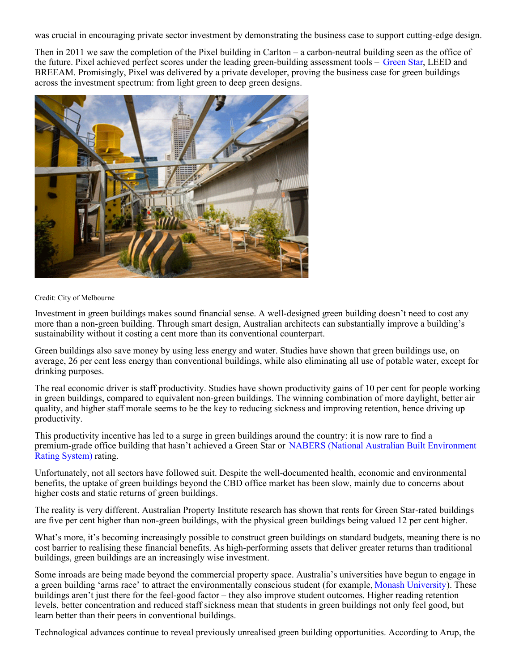was crucial in encouraging private sector investment by demonstrating the business case to support cutting-edge design.

Then in 2011 we saw the completion of the Pixel building in Carlton – a carbon-neutral building seen as the office of the future. Pixel achieved perfect scores under the leading green-building assessment tools – [Green Star](http://www.gbca.org.au/green-star/green-star-overview/), LEED and BREEAM. Promisingly, Pixel was delivered by a private developer, proving the business case for green buildings across the investment spectrum: from light green to deep green designs.



#### Credit: City of Melbourne

Investment in green buildings makes sound financial sense. A well-designed green building doesn't need to cost any more than a non-green building. Through smart design, Australian architects can substantially improve a building's sustainability without it costing a cent more than its conventional counterpart.

Green buildings also save money by using less energy and water. Studies have shown that green buildings use, on average, 26 per cent less energy than conventional buildings, while also eliminating all use of potable water, except for drinking purposes.

The real economic driver is staff productivity. Studies have shown productivity gains of 10 per cent for people working in green buildings, compared to equivalent non-green buildings. The winning combination of more daylight, better air quality, and higher staff morale seems to be the key to reducing sickness and improving retention, hence driving up productivity.

This productivity incentive has led to a surge in green buildings around the country: it is now rare to find a premium-grade office building that hasn't achieved a Green Star or [NABERS \(National Australian Built Environment](http://www.nabers.gov.au/public/WebPages/Home.aspx) [Rating System\)](http://www.nabers.gov.au/public/WebPages/Home.aspx) rating.

Unfortunately, not all sectors have followed suit. Despite the well-documented health, economic and environmental benefits, the uptake of green buildings beyond the CBD office market has been slow, mainly due to concerns about higher costs and static returns of green buildings.

The reality is very different. Australian Property Institute research has shown that rents for Green Star-rated buildings are five per cent higher than non-green buildings, with the physical green buildings being valued 12 per cent higher.

What's more, it's becoming increasingly possible to construct green buildings on standard budgets, meaning there is no cost barrier to realising these financial benefits. As high-performing assets that deliver greater returns than traditional buildings, green buildings are an increasingly wise investment.

Some inroads are being made beyond the commercial property space. Australia's universities have begun to engage in a green building 'arms race' to attract the environmentally conscious student (for example, [Monash University](http://fsd.monash.edu.au/environmental-sustainability/environmental-issues/ecologically-sustainable-development)). These buildings aren't just there for the feel-good factor – they also improve student outcomes. Higher reading retention levels, better concentration and reduced staff sickness mean that students in green buildings not only feel good, but learn better than their peers in conventional buildings.

[Technological advances continue to reveal p](http://www.arup.com/Projects/William_McCormack_Place_Stage_2.aspx)reviously unrealised green building opportunities. According to Arup, the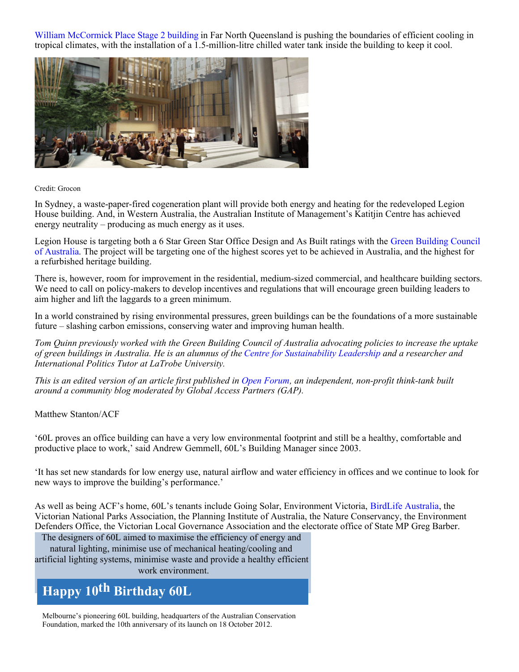[William McCormick Place Stage 2 building](http://www.arup.com/Projects/William_McCormack_Place_Stage_2.aspx) in Far North Queensland is pushing the boundaries of efficient cooling in tropical climates, with the installation of a 1.5-million-litre chilled water tank inside the building to keep it cool.



#### Credit: Grocon

In Sydney, a waste-paper-fired cogeneration plant will provide both energy and heating for the redeveloped Legion House building. And, in Western Australia, the Australian Institute of Management's Katitjin Centre has achieved energy neutrality – producing as much energy as it uses.

Legion House is targeting both a 6 Star Green Star Office Design and As Built ratings with the [Green Building Council](http://www.gbca.org.au/) [of Australia](http://www.gbca.org.au/). The project will be targeting one of the highest scores yet to be achieved in Australia, and the highest for a refurbished heritage building.

There is, however, room for improvement in the residential, medium-sized commercial, and healthcare building sectors. We need to call on policy-makers to develop incentives and regulations that will encourage green building leaders to aim higher and lift the laggards to a green minimum.

In a world constrained by rising environmental pressures, green buildings can be the foundations of a more sustainable future – slashing carbon emissions, conserving water and improving human health.

*Tom Quinn previously worked with the Green Building Council of Australia advocating policies to increase the uptake of green buildings in Australia. He is an alumnus of the [Centre for Sustainability Leadership](http://www.csl.org.au/) and a researcher and International Politics Tutor at LaTrobe University.*

*This is an edited version of an article first published in [Open Forum](http://www.openforum.com.au/), an independent, non-profit think-tank built around a community blog moderated by Global Access Partners (GAP).*

Matthew Stanton/ACF

'60L proves an office building can have a very low environmental footprint and still be a healthy, comfortable and productive place to work,' said Andrew Gemmell, 60L's Building Manager since 2003.

'It has set new standards for low energy use, natural airflow and water efficiency in offices and we continue to look for new ways to improve the building's performance.'

As well as being ACF's home, 60L's tenants include Going Solar, Environment Victoria, [BirdLife Australia](http://www.ecosmagazine.com/?paper=EC12457), the Victorian National Parks Association, the Planning Institute of Australia, the Nature Conservancy, the Environment Defenders Office, the Victorian Local Governance Association and the electorate office of State MP Greg Barber.

The designers of 60L aimed to maximise the efficiency of energy and

natural lighting, minimise use of mechanical heating/cooling and artificial lighting systems, minimise waste and provide a healthy efficient

### work environment.

# **Happy 10th Birthday 60L**

Melbourne's pioneering 60L building, headquarters of the Australian Conservation Foundation, marked the 10th anniversary of its launch on 18 October 2012.